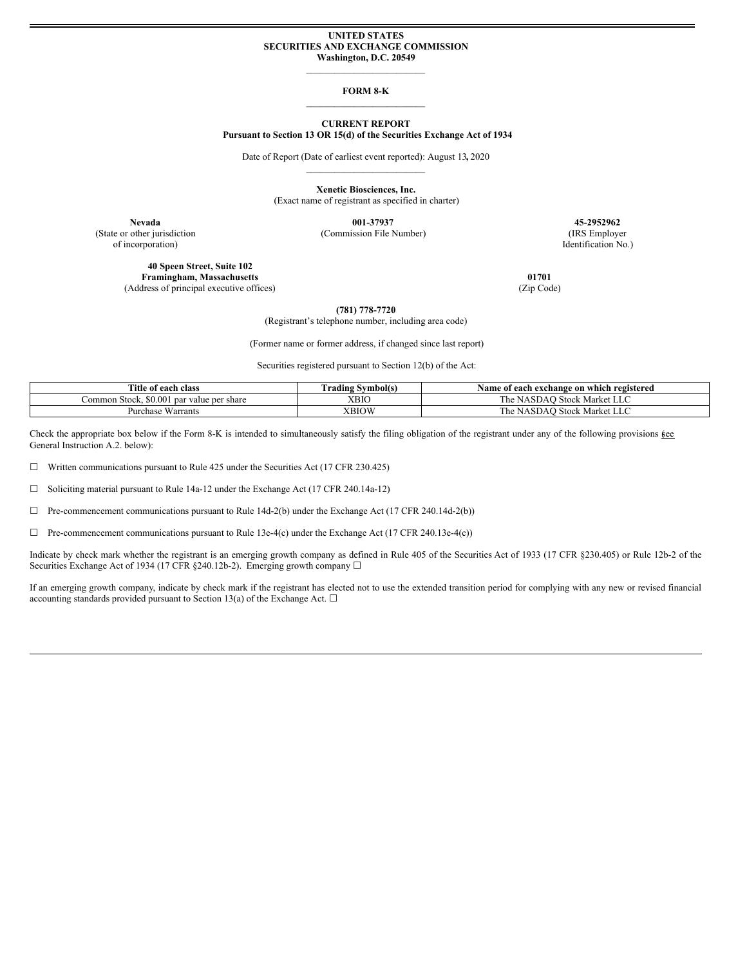## **UNITED STATES SECURITIES AND EXCHANGE COMMISSION Washington, D.C. 20549**

 $\mathcal{L}_\text{max}$ 

## **FORM 8-K**  $\mathcal{L}_\text{max}$

## **CURRENT REPORT Pursuant to Section 13 OR 15(d) of the Securities Exchange Act of 1934**

Date of Report (Date of earliest event reported): August 13**,** 2020  $\mathcal{L}_\text{max}$ 

> **Xenetic Biosciences, Inc.** (Exact name of registrant as specified in charter)

(State or other jurisdiction (Commission File Number) (IRS Employer

of incorporation) Identification No.)

**40 Speen Street, Suite 102 Framingham, Massachusetts 01701** (Address of principal executive offices) (Zip Code)

**Nevada 001-37937 45-2952962**

**(781) 778-7720**

(Registrant's telephone number, including area code)

(Former name or former address, if changed since last report)

Securities registered pursuant to Section 12(b) of the Act:

| <b>Title</b><br>e of each class                        | Urading Symbol(s) | f each exchange on which registered<br>Name<br>01 |
|--------------------------------------------------------|-------------------|---------------------------------------------------|
| \$0.001<br>Stock.<br>value per share<br>ommon<br>1 par | XBIC              | The.<br>Stock Market LLC<br>NASDAO.               |
| $-$<br>Purchase Warrants                               | <b>XBIOW</b>      | The<br>Stock Market LLC<br>NASDAO                 |

Check the appropriate box below if the Form 8-K is intended to simultaneously satisfy the filing obligation of the registrant under any of the following provisions  $\underline{\mathfrak{g}}\underline{\mathfrak{e}}\underline{\mathfrak{e}}$ General Instruction A.2. below):

 $\Box$  Written communications pursuant to Rule 425 under the Securities Act (17 CFR 230.425)

☐ Soliciting material pursuant to Rule 14a-12 under the Exchange Act (17 CFR 240.14a-12)

 $\Box$  Pre-commencement communications pursuant to Rule 14d-2(b) under the Exchange Act (17 CFR 240.14d-2(b))

 $\Box$  Pre-commencement communications pursuant to Rule 13e-4(c) under the Exchange Act (17 CFR 240.13e-4(c))

Indicate by check mark whether the registrant is an emerging growth company as defined in Rule 405 of the Securities Act of 1933 (17 CFR §230.405) or Rule 12b-2 of the Securities Exchange Act of 1934 (17 CFR §240.12b-2). Emerging growth company □

If an emerging growth company, indicate by check mark if the registrant has elected not to use the extended transition period for complying with any new or revised financial accounting standards provided pursuant to Section 13(a) of the Exchange Act.  $\Box$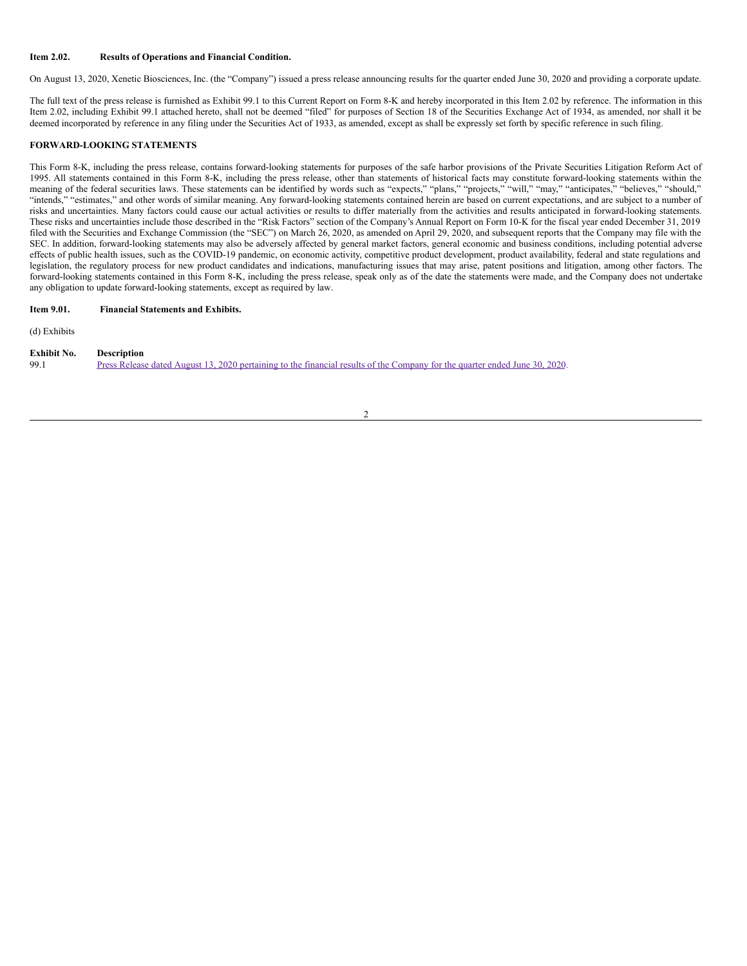### **Item 2.02. Results of Operations and Financial Condition.**

On August 13, 2020, Xenetic Biosciences, Inc. (the "Company") issued a press release announcing results for the quarter ended June 30, 2020 and providing a corporate update.

The full text of the press release is furnished as Exhibit 99.1 to this Current Report on Form 8-K and hereby incorporated in this Item 2.02 by reference. The information in this Item 2.02, including Exhibit 99.1 attached hereto, shall not be deemed "filed" for purposes of Section 18 of the Securities Exchange Act of 1934, as amended, nor shall it be deemed incorporated by reference in any filing under the Securities Act of 1933, as amended, except as shall be expressly set forth by specific reference in such filing.

## **FORWARD-LOOKING STATEMENTS**

This Form 8-K, including the press release, contains forward-looking statements for purposes of the safe harbor provisions of the Private Securities Litigation Reform Act of 1995. All statements contained in this Form 8-K, including the press release, other than statements of historical facts may constitute forward-looking statements within the meaning of the federal securities laws. These statements can be identified by words such as "expects," "plans," "projects," "will," "may," "anticipates," "believes," "should," "intends," "estimates," and other words of similar meaning. Any forward-looking statements contained herein are based on current expectations, and are subject to a number of risks and uncertainties. Many factors could cause our actual activities or results to differ materially from the activities and results anticipated in forward-looking statements. These risks and uncertainties include those described in the "Risk Factors" section of the Company's Annual Report on Form 10-K for the fiscal year ended December 31, 2019 filed with the Securities and Exchange Commission (the "SEC") on March 26, 2020, as amended on April 29, 2020, and subsequent reports that the Company may file with the SEC. In addition, forward-looking statements may also be adversely affected by general market factors, general economic and business conditions, including potential adverse effects of public health issues, such as the COVID-19 pandemic, on economic activity, competitive product development, product availability, federal and state regulations and legislation, the regulatory process for new product candidates and indications, manufacturing issues that may arise, patent positions and litigation, among other factors. The forward-looking statements contained in this Form 8-K, including the press release, speak only as of the date the statements were made, and the Company does not undertake any obligation to update forward-looking statements, except as required by law.

## **Item 9.01. Financial Statements and Exhibits.**

(d) Exhibits

| <b>Exhibit No.</b> | <b>Description</b>                                                                                                          |
|--------------------|-----------------------------------------------------------------------------------------------------------------------------|
| 99.1               | Press Release dated August 13, 2020 pertaining to the financial results of the Company for the quarter ended June 30, 2020. |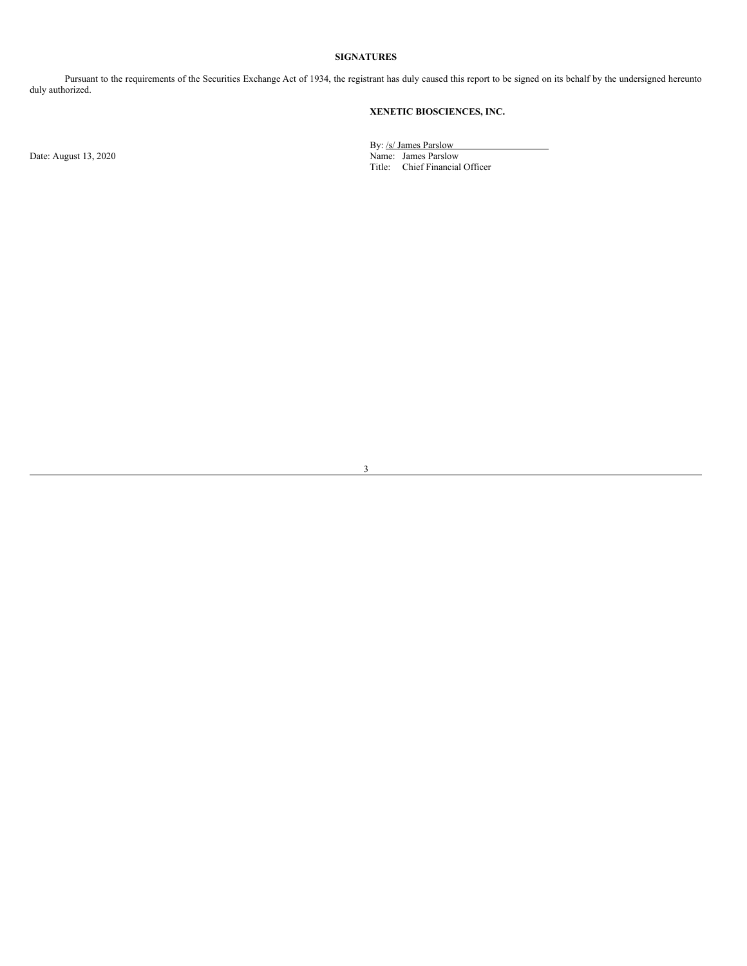## **SIGNATURES**

Pursuant to the requirements of the Securities Exchange Act of 1934, the registrant has duly caused this report to be signed on its behalf by the undersigned hereunto duly authorized.

## **XENETIC BIOSCIENCES, INC.**

By: /s/ James Parslow Date: August 13, 2020 **Name: James Parslow** Name: James Parslow Title: Chief Financial Officer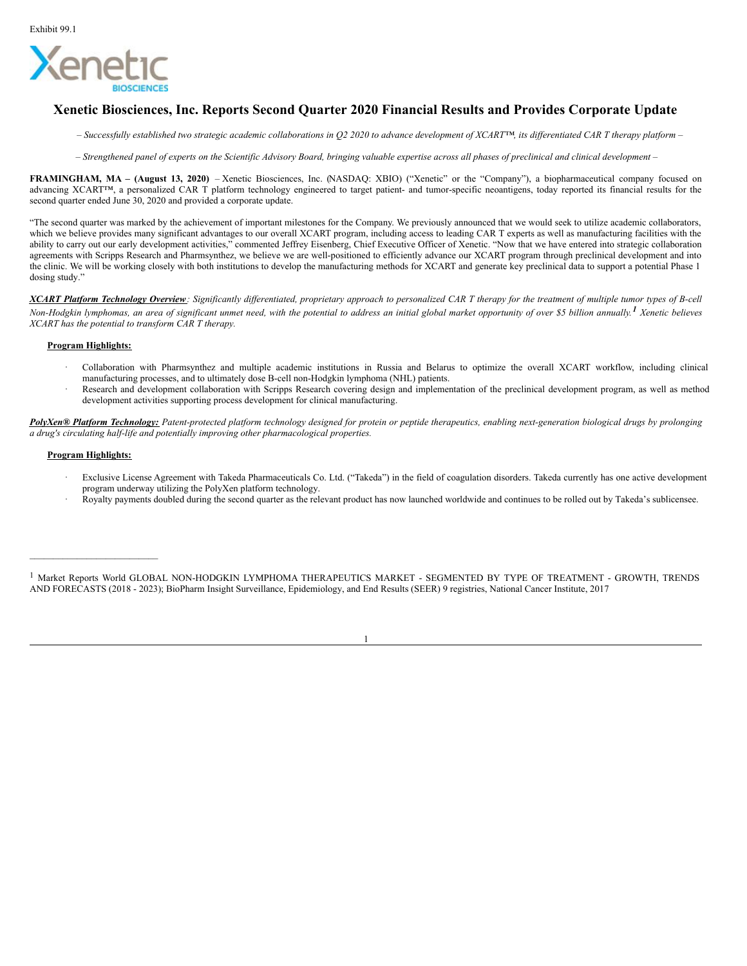

# **Xenetic Biosciences, Inc. Reports Second Quarter 2020 Financial Results and Provides Corporate Update**

- Successfully established two strategic academic collaborations in Q2 2020 to advance development of XCART<sup>TM</sup>, its differentiated CAR T therapy platform-
- Strengthened panel of experts on the Scientific Advisory Board, bringing valuable expertise across all phases of preclinical and clinical development -

**FRAMINGHAM, MA – (August 13, 2020)** – Xenetic Biosciences, Inc. (NASDAQ: XBIO) ("Xenetic" or the "Company"), a biopharmaceutical company focused on advancing XCART™, a personalized CAR T platform technology engineered to target patient- and tumor-specific neoantigens, today reported its financial results for the second quarter ended June 30, 2020 and provided a corporate update.

"The second quarter was marked by the achievement of important milestones for the Company. We previously announced that we would seek to utilize academic collaborators, which we believe provides many significant advantages to our overall XCART program, including access to leading CAR T experts as well as manufacturing facilities with the ability to carry out our early development activities," commented Jeffrey Eisenberg, Chief Executive Officer of Xenetic. "Now that we have entered into strategic collaboration agreements with Scripps Research and Pharmsynthez, we believe we are well-positioned to efficiently advance our XCART program through preclinical development and into the clinic. We will be working closely with both institutions to develop the manufacturing methods for XCART and generate key preclinical data to support a potential Phase 1 dosing study."

XCART Platform Technology Overview: Significantly differentiated, proprietary approach to personalized CAR T therapy for the treatment of multiple tumor types of B-cell Non-Hodgkin lymphomas, an area of significant unmet need, with the potential to address an initial global market opportunity of over \$5 billion annually.<sup>1</sup> Xenetic believes *XCART has the potential to transform CAR T therapy.*

## **Program Highlights:**

- · Collaboration with Pharmsynthez and multiple academic institutions in Russia and Belarus to optimize the overall XCART workflow, including clinical manufacturing processes, and to ultimately dose B-cell non-Hodgkin lymphoma (NHL) patients.
- Research and development collaboration with Scripps Research covering design and implementation of the preclinical development program, as well as method development activities supporting process development for clinical manufacturing.

PolyXen® Platform Technology: Patent-protected platform technology designed for protein or peptide therapeutics, enabling next-generation biological drugs by prolonging *a drug's circulating half-life and potentially improving other pharmacological properties.*

## **Program Highlights:**

\_\_\_\_\_\_\_\_\_\_\_\_\_\_\_\_\_\_\_\_\_\_\_\_\_\_\_

- Exclusive License Agreement with Takeda Pharmaceuticals Co. Ltd. ("Takeda") in the field of coagulation disorders. Takeda currently has one active development program underway utilizing the PolyXen platform technology.
- · Royalty payments doubled during the second quarter as the relevant product has now launched worldwide and continues to be rolled out by Takeda's sublicensee.

<sup>1</sup> Market Reports World GLOBAL NON-HODGKIN LYMPHOMA THERAPEUTICS MARKET - SEGMENTED BY TYPE OF TREATMENT - GROWTH, TRENDS AND FORECASTS (2018 - 2023); BioPharm Insight Surveillance, Epidemiology, and End Results (SEER) 9 registries, National Cancer Institute, 2017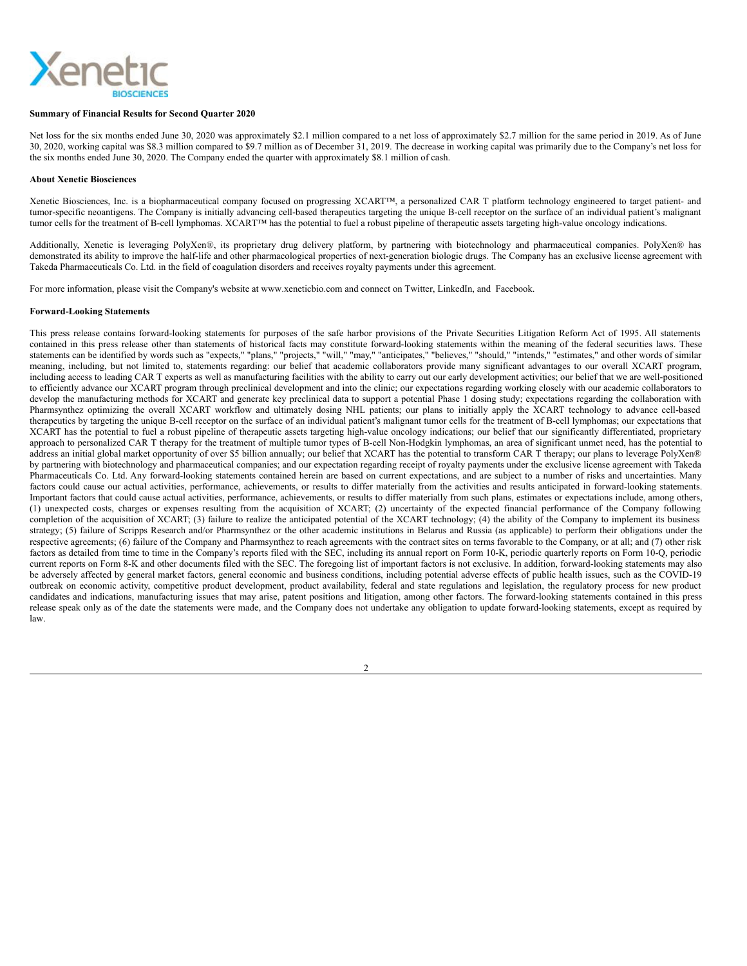# <span id="page-4-0"></span>Xene

## **Summary of Financial Results for Second Quarter 2020**

Net loss for the six months ended June 30, 2020 was approximately \$2.1 million compared to a net loss of approximately \$2.7 million for the same period in 2019. As of June 30, 2020, working capital was \$8.3 million compared to \$9.7 million as of December 31, 2019. The decrease in working capital was primarily due to the Company's net loss for the six months ended June 30, 2020. The Company ended the quarter with approximately \$8.1 million of cash.

## **About Xenetic Biosciences**

Xenetic Biosciences, Inc. is a biopharmaceutical company focused on progressing XCART™, a personalized CAR T platform technology engineered to target patient- and tumor-specific neoantigens. The Company is initially advancing cell-based therapeutics targeting the unique B-cell receptor on the surface of an individual patient's malignant tumor cells for the treatment of B-cell lymphomas. XCART™ has the potential to fuel a robust pipeline of therapeutic assets targeting high-value oncology indications.

Additionally, Xenetic is leveraging PolyXen®, its proprietary drug delivery platform, by partnering with biotechnology and pharmaceutical companies. PolyXen® has demonstrated its ability to improve the half-life and other pharmacological properties of next-generation biologic drugs. The Company has an exclusive license agreement with Takeda Pharmaceuticals Co. Ltd. in the field of coagulation disorders and receives royalty payments under this agreement.

For more information, please visit the Company's website at www.xeneticbio.com and connect on Twitter, LinkedIn, and Facebook.

#### **Forward-Looking Statements**

This press release contains forward-looking statements for purposes of the safe harbor provisions of the Private Securities Litigation Reform Act of 1995. All statements contained in this press release other than statements of historical facts may constitute forward-looking statements within the meaning of the federal securities laws. These statements can be identified by words such as "expects," "plans," "projects," "will," "may," "anticipates," "believes," "should," "intends," "estimates," and other words of similar meaning, including, but not limited to, statements regarding: our belief that academic collaborators provide many significant advantages to our overall XCART program, including access to leading CAR T experts as well as manufacturing facilities with the ability to carry out our early development activities; our belief that we are well-positioned to efficiently advance our XCART program through preclinical development and into the clinic; our expectations regarding working closely with our academic collaborators to develop the manufacturing methods for XCART and generate key preclinical data to support a potential Phase 1 dosing study; expectations regarding the collaboration with Pharmsynthez optimizing the overall XCART workflow and ultimately dosing NHL patients; our plans to initially apply the XCART technology to advance cell-based therapeutics by targeting the unique B-cell receptor on the surface of an individual patient's malignant tumor cells for the treatment of B-cell lymphomas; our expectations that XCART has the potential to fuel a robust pipeline of therapeutic assets targeting high-value oncology indications; our belief that our significantly differentiated, proprietary approach to personalized CAR T therapy for the treatment of multiple tumor types of B-cell Non-Hodgkin lymphomas, an area of significant unmet need, has the potential to address an initial global market opportunity of over \$5 billion annually; our belief that XCART has the potential to transform CAR T therapy; our plans to leverage PolyXen® by partnering with biotechnology and pharmaceutical companies; and our expectation regarding receipt of royalty payments under the exclusive license agreement with Takeda Pharmaceuticals Co. Ltd. Any forward-looking statements contained herein are based on current expectations, and are subject to a number of risks and uncertainties. Many factors could cause our actual activities, performance, achievements, or results to differ materially from the activities and results anticipated in forward-looking statements. Important factors that could cause actual activities, performance, achievements, or results to differ materially from such plans, estimates or expectations include, among others, (1) unexpected costs, charges or expenses resulting from the acquisition of XCART; (2) uncertainty of the expected financial performance of the Company following completion of the acquisition of XCART; (3) failure to realize the anticipated potential of the XCART technology; (4) the ability of the Company to implement its business strategy; (5) failure of Scripps Research and/or Pharmsynthez or the other academic institutions in Belarus and Russia (as applicable) to perform their obligations under the respective agreements; (6) failure of the Company and Pharmsynthez to reach agreements with the contract sites on terms favorable to the Company, or at all; and (7) other risk factors as detailed from time to time in the Company's reports filed with the SEC, including its annual report on Form 10-K, periodic quarterly reports on Form 10-Q, periodic current reports on Form 8-K and other documents filed with the SEC. The foregoing list of important factors is not exclusive. In addition, forward-looking statements may also be adversely affected by general market factors, general economic and business conditions, including potential adverse effects of public health issues, such as the COVID-19 outbreak on economic activity, competitive product development, product availability, federal and state regulations and legislation, the regulatory process for new product candidates and indications, manufacturing issues that may arise, patent positions and litigation, among other factors. The forward-looking statements contained in this press release speak only as of the date the statements were made, and the Company does not undertake any obligation to update forward-looking statements, except as required by law.